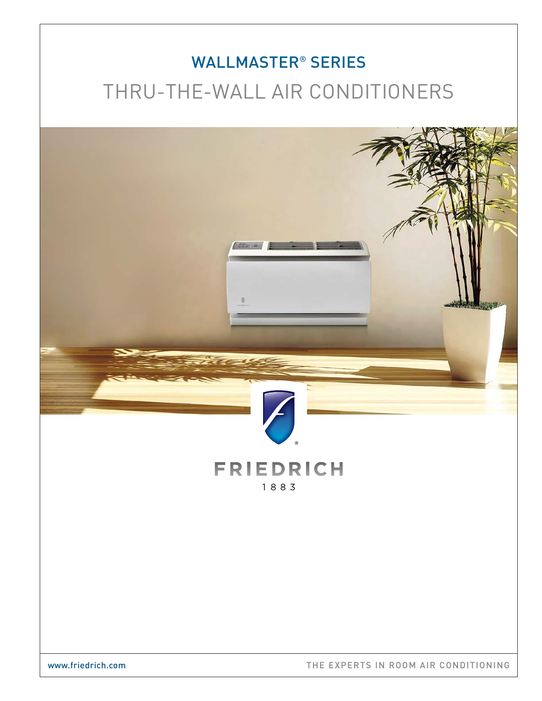# WALLMASTER® SERIES THRU-THE-WALL AIR CONDITIONERS

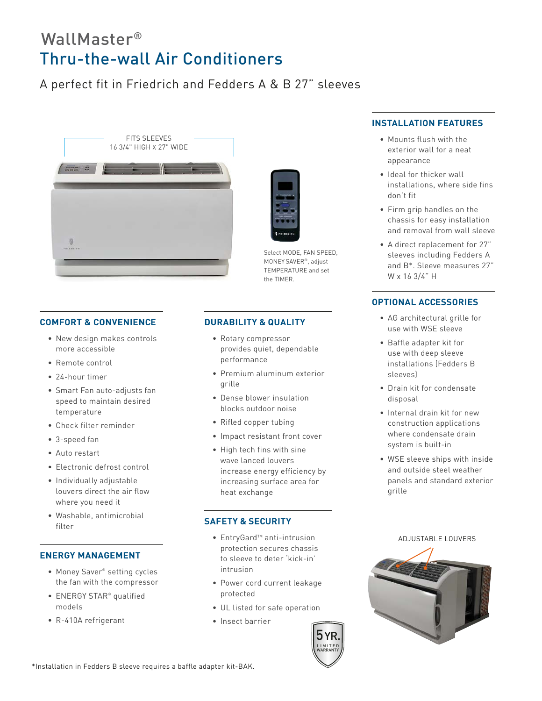## WallMaster® Thru-the-wall Air Conditioners

### A perfect fit in Friedrich and Fedders A & B 27" sleeves



#### **COMFORT & CONVENIENCE**

- New design makes controls more accessible
- Remote control
- 24-hour timer
- Smart Fan auto-adjusts fan speed to maintain desired temperature
- Check filter reminder
- 3-speed fan
- Auto restart
- Electronic defrost control
- Individually adjustable louvers direct the air flow where you need it
- Washable, antimicrobial filter

#### **ENERGY MANAGEMENT**

- Money Saver® setting cycles the fan with the compressor
- ENERGY STAR® qualified models
- R-410A refrigerant

### **DURABILITY & QUALITY**

• Rotary compressor provides quiet, dependable performance

Select MODE, FAN SPEED, MONEY SAVER®, adjust TEMPERATURE and set

the TIMER.

- Premium aluminum exterior grille
- Dense blower insulation blocks outdoor noise
- Rifled copper tubing
- Impact resistant front cover
- High tech fins with sine wave lanced louvers increase energy efficiency by increasing surface area for heat exchange

#### **SAFETY & SECURITY**

- EntryGard™ anti-intrusion protection secures chassis to sleeve to deter 'kick-in' intrusion
- Power cord current leakage protected
- UL listed for safe operation
- Insect barrier

#### **INSTALLATION FEATURES**

- Mounts flush with the exterior wall for a neat appearance
- Ideal for thicker wall installations, where side fins don't fit
- Firm grip handles on the chassis for easy installation and removal from wall sleeve
- A direct replacement for 27" sleeves including Fedders A and B\*. Sleeve measures 27" W x 16 3/4" H

#### **OPTIONAL ACCESSORIES**

- AG architectural grille for use with WSE sleeve
- Baffle adapter kit for use with deep sleeve installations (Fedders B sleeves)
- Drain kit for condensate disposal
- Internal drain kit for new construction applications where condensate drain system is built-in
- WSE sleeve ships with inside and outside steel weather panels and standard exterior grille



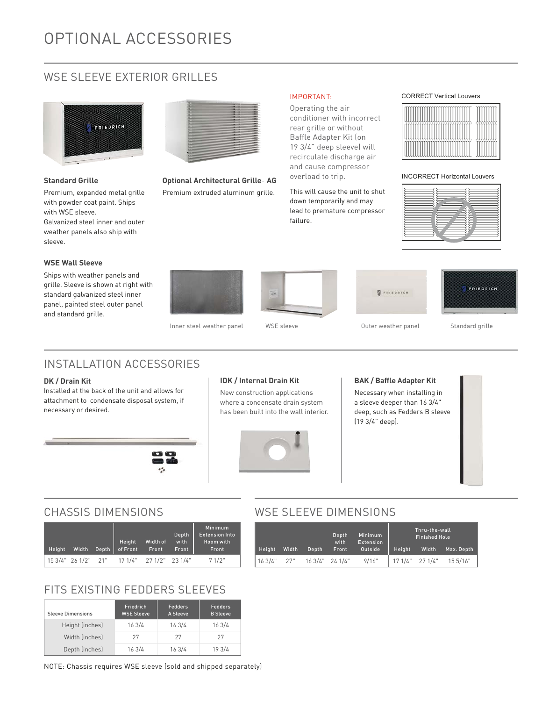### WSE SLEEVE EXTERIOR GRILLES



#### **Standard Grille**

Premium, expanded metal grille with powder coat paint. Ships with WSE sleeve. Galvanized steel inner and outer weather panels also ship with sleeve.

#### **WSE Wall Sleeve**

Ships with weather panels and grille. Sleeve is shown at right with standard galvanized steel inner panel, painted steel outer panel and standard grille.



**Optional Architectural Grille**- **AG** Premium extruded aluminum grille.

#### IMPORTANT:

Operating the air conditioner with incorrect rear grille or without Baffle Adapter Kit (on 19 3/4" deep sleeve) will recirculate discharge air and cause compressor overload to trip.

This will cause the unit to shut down temporarily and may lead to premature compressor failure.

CORRECT Vertical Louvers



INCORRECT Horizontal Louvers





Inner steel weather panel WSE sleeve **Outer weather panel** Standard grille







### INSTALLATION ACCESSORIES

#### **DK / Drain Kit**

Installed at the back of the unit and allows for attachment to condensate disposal system, if necessary or desired.

#### **IDK / Internal Drain Kit**

New construction applications where a condensate drain system has been built into the wall interior.



#### **BAK / Baffle Adapter Kit**

Necessary when installing in a sleeve deeper than 16 3/4" deep, such as Fedders B sleeve (19 3/4" deep).



### WSE SLEEVE DIMENSIONS

|        |       |       | Depth<br>with   | <b>Minimum</b><br>Extension |        | Thru-the-wall<br><b>Finished Hole</b> |            |
|--------|-------|-------|-----------------|-----------------------------|--------|---------------------------------------|------------|
| Height | Width | Depth | Front           | Outside                     | Height | Width                                 | Max. Depth |
| 163/4" | 27"   |       | 16 3/4" 24 1/4" | 9/16"                       |        | 17 1/4" 27 1/4"                       | 15 5/16"   |

### CHASSIS DIMENSIONS

| Height | Width               | <b>Height</b><br>Depth   of Front | Width of<br>Front | Depth<br>with<br>Front | Minimum<br><b>Extension Into</b><br>Room with<br>Front |
|--------|---------------------|-----------------------------------|-------------------|------------------------|--------------------------------------------------------|
|        | 15 3/4" 26 1/2" 21" | 17 1/4" 27 1/2" 23 1/4"           |                   |                        | 71/2"                                                  |

### FITS EXISTING FEDDERS SLEEVES

| <b>Sleeve Dimensions</b> | Friedrich<br><b>WSE Sleeve</b> | Fedders<br>A Sleeve | Fedders<br><b>B</b> Sleeve |  |  |
|--------------------------|--------------------------------|---------------------|----------------------------|--|--|
| Height (inches)          | 16 3/4                         | 163/4               | 16 3/4                     |  |  |
| Width (inches)           | 27                             | 27                  | 27                         |  |  |
| Depth (inches)           | 16 3/4                         | 16 3/4              | 19 3/4                     |  |  |

NOTE: Chassis requires WSE sleeve (sold and shipped separately)